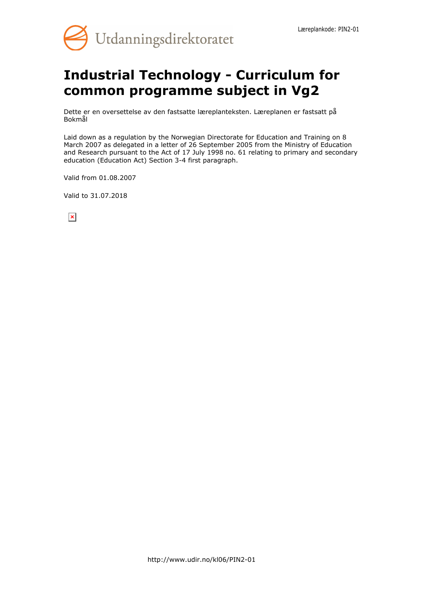

# **Industrial Technology - Curriculum for common programme subject in Vg2**

Dette er en oversettelse av den fastsatte læreplanteksten. Læreplanen er fastsatt på Bokmål

Laid down as a regulation by the Norwegian Directorate for Education and Training on 8 March 2007 as delegated in a letter of 26 September 2005 from the Ministry of Education and Research pursuant to the Act of 17 July 1998 no. 61 relating to primary and secondary education (Education Act) Section 3-4 first paragraph.

Valid from 01.08.2007

Valid to 31.07.2018

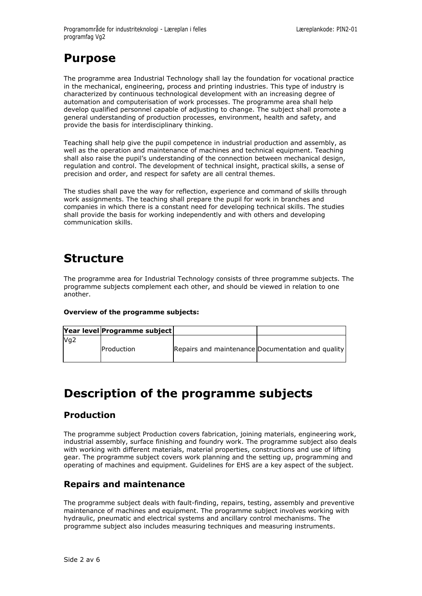## **Purpose**

The programme area Industrial Technology shall lay the foundation for vocational practice in the mechanical, engineering, process and printing industries. This type of industry is characterized by continuous technological development with an increasing degree of automation and computerisation of work processes. The programme area shall help develop qualified personnel capable of adjusting to change. The subject shall promote a general understanding of production processes, environment, health and safety, and provide the basis for interdisciplinary thinking.

Teaching shall help give the pupil competence in industrial production and assembly, as well as the operation and maintenance of machines and technical equipment. Teaching shall also raise the pupil's understanding of the connection between mechanical design, regulation and control. The development of technical insight, practical skills, a sense of precision and order, and respect for safety are all central themes.

The studies shall pave the way for reflection, experience and command of skills through work assignments. The teaching shall prepare the pupil for work in branches and companies in which there is a constant need for developing technical skills. The studies shall provide the basis for working independently and with others and developing communication skills.

## **Structure**

The programme area for Industrial Technology consists of three programme subjects. The programme subjects complement each other, and should be viewed in relation to one another.

#### **Overview of the programme subjects:**

|                 | Year level Programme subject |                                                   |  |
|-----------------|------------------------------|---------------------------------------------------|--|
| Mq <sub>2</sub> | <b>IProduction</b>           | Repairs and maintenance Documentation and quality |  |

## **Description of the programme subjects**

### **Production**

The programme subject Production covers fabrication, joining materials, engineering work, industrial assembly, surface finishing and foundry work. The programme subject also deals with working with different materials, material properties, constructions and use of lifting gear. The programme subject covers work planning and the setting up, programming and operating of machines and equipment. Guidelines for EHS are a key aspect of the subject.

### **Repairs and maintenance**

The programme subject deals with fault-finding, repairs, testing, assembly and preventive maintenance of machines and equipment. The programme subject involves working with hydraulic, pneumatic and electrical systems and ancillary control mechanisms. The programme subject also includes measuring techniques and measuring instruments.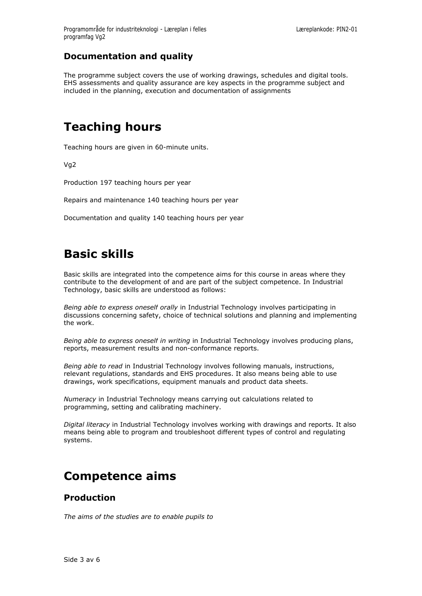### **Documentation and quality**

The programme subject covers the use of working drawings, schedules and digital tools. EHS assessments and quality assurance are key aspects in the programme subject and included in the planning, execution and documentation of assignments

## **Teaching hours**

Teaching hours are given in 60-minute units.

Vg2

Production 197 teaching hours per year

Repairs and maintenance 140 teaching hours per year

Documentation and quality 140 teaching hours per year

## **Basic skills**

Basic skills are integrated into the competence aims for this course in areas where they contribute to the development of and are part of the subject competence. In Industrial Technology, basic skills are understood as follows:

*Being able to express oneself orally* in Industrial Technology involves participating in discussions concerning safety, choice of technical solutions and planning and implementing the work.

*Being able to express oneself in writing* in Industrial Technology involves producing plans, reports, measurement results and non-conformance reports.

*Being able to read* in Industrial Technology involves following manuals, instructions, relevant regulations, standards and EHS procedures. It also means being able to use drawings, work specifications, equipment manuals and product data sheets.

*Numeracy* in Industrial Technology means carrying out calculations related to programming, setting and calibrating machinery.

*Digital literacy* in Industrial Technology involves working with drawings and reports. It also means being able to program and troubleshoot different types of control and regulating systems.

## **Competence aims**

#### **Production**

*The aims of the studies are to enable pupils to*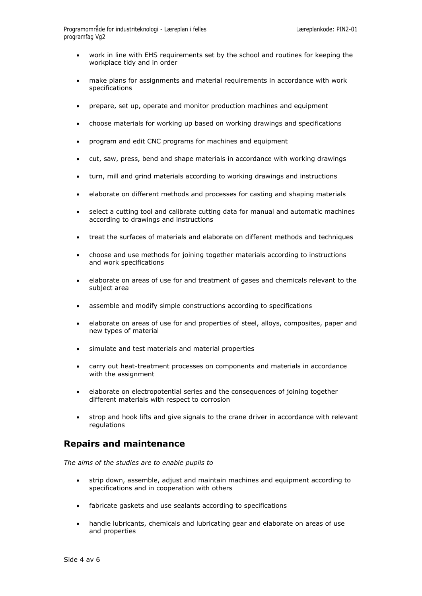- work in line with EHS requirements set by the school and routines for keeping the workplace tidy and in order
- make plans for assignments and material requirements in accordance with work specifications
- prepare, set up, operate and monitor production machines and equipment
- choose materials for working up based on working drawings and specifications
- program and edit CNC programs for machines and equipment
- cut, saw, press, bend and shape materials in accordance with working drawings
- turn, mill and grind materials according to working drawings and instructions
- elaborate on different methods and processes for casting and shaping materials
- select a cutting tool and calibrate cutting data for manual and automatic machines according to drawings and instructions
- treat the surfaces of materials and elaborate on different methods and techniques
- choose and use methods for joining together materials according to instructions and work specifications
- elaborate on areas of use for and treatment of gases and chemicals relevant to the subject area
- assemble and modify simple constructions according to specifications
- elaborate on areas of use for and properties of steel, alloys, composites, paper and new types of material
- simulate and test materials and material properties
- carry out heat-treatment processes on components and materials in accordance with the assignment
- elaborate on electropotential series and the consequences of joining together different materials with respect to corrosion
- strop and hook lifts and give signals to the crane driver in accordance with relevant regulations

### **Repairs and maintenance**

*The aims of the studies are to enable pupils to*

- strip down, assemble, adjust and maintain machines and equipment according to specifications and in cooperation with others
- fabricate gaskets and use sealants according to specifications
- handle lubricants, chemicals and lubricating gear and elaborate on areas of use and properties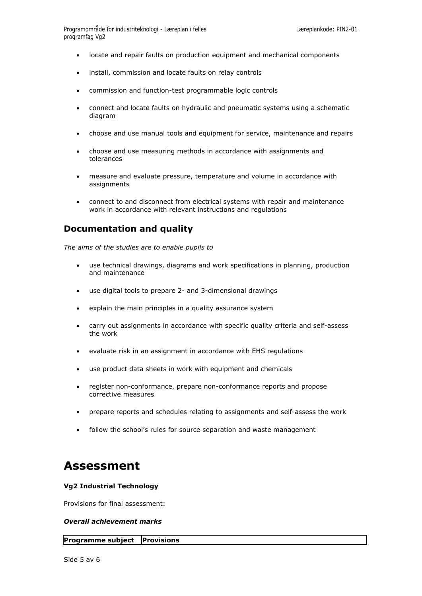- locate and repair faults on production equipment and mechanical components
- install, commission and locate faults on relay controls
- commission and function-test programmable logic controls
- connect and locate faults on hydraulic and pneumatic systems using a schematic diagram
- choose and use manual tools and equipment for service, maintenance and repairs
- choose and use measuring methods in accordance with assignments and tolerances
- measure and evaluate pressure, temperature and volume in accordance with assignments
- connect to and disconnect from electrical systems with repair and maintenance work in accordance with relevant instructions and regulations

#### **Documentation and quality**

*The aims of the studies are to enable pupils to*

- use technical drawings, diagrams and work specifications in planning, production and maintenance
- use digital tools to prepare 2- and 3-dimensional drawings
- explain the main principles in a quality assurance system
- carry out assignments in accordance with specific quality criteria and self-assess the work
- evaluate risk in an assignment in accordance with EHS regulations
- use product data sheets in work with equipment and chemicals
- register non-conformance, prepare non-conformance reports and propose corrective measures
- prepare reports and schedules relating to assignments and self-assess the work
- follow the school's rules for source separation and waste management

## **Assessment**

#### **Vg2 Industrial Technology**

Provisions for final assessment:

#### *Overall achievement marks*

#### **Programme subject Provisions**